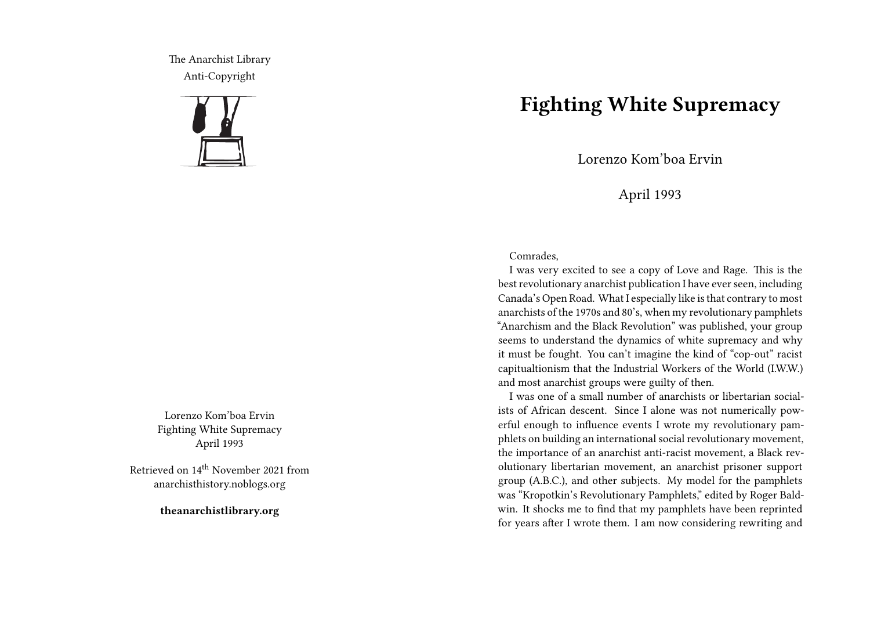The Anarchist Library Anti-Copyright



Lorenzo Kom'boa Ervin Fighting White Supremacy April 1993

Retrieved on 14th November 2021 from anarchisthistory.noblogs.org

**theanarchistlibrary.org**

## **Fighting White Supremacy**

Lorenzo Kom'boa Ervin

## April 1993

## Comrades,

I was very excited to see a copy of Love and Rage. This is the best revolutionary anarchist publication I have ever seen, including Canada's Open Road. What I especially like is that contrary to most anarchists of the 1970s and 80's, when my revolutionary pamphlets "Anarchism and the Black Revolution" was published, your group seems to understand the dynamics of white supremacy and why it must be fought. You can't imagine the kind of "cop-out" racist capitualtionism that the Industrial Workers of the World (I.W.W.) and most anarchist groups were guilty of then.

I was one of a small number of anarchists or libertarian socialists of African descent. Since I alone was not numerically powerful enough to influence events I wrote my revolutionary pamphlets on building an international social revolutionary movement, the importance of an anarchist anti-racist movement, a Black revolutionary libertarian movement, an anarchist prisoner support group (A.B.C.), and other subjects. My model for the pamphlets was "Kropotkin's Revolutionary Pamphlets," edited by Roger Baldwin. It shocks me to find that my pamphlets have been reprinted for years after I wrote them. I am now considering rewriting and